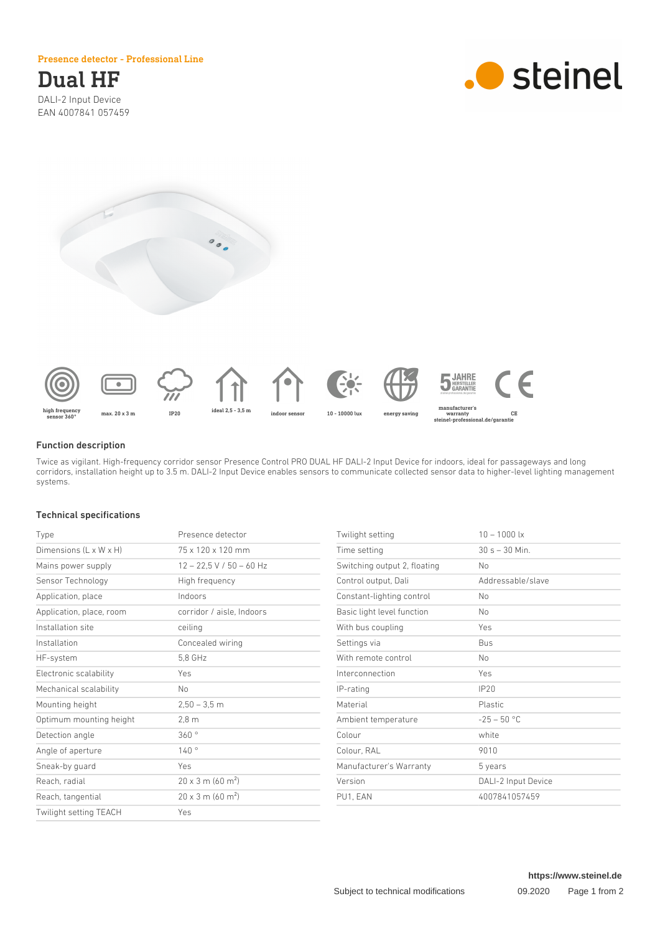#### Presence detector - Professional Line

# Dual HF DALI-2 Input Device

EAN 4007841 057459

.**.** steinel





#### Function description

Twice as vigilant. High-frequency corridor sensor Presence Control PRO DUAL HF DALI-2 Input Device for indoors, ideal for passageways and long corridors, installation height up to 3.5 m. DALI-2 Input Device enables sensors to communicate collected sensor data to higher-level lighting management systems.

# Technical specifications

| Type                     | Presence detector                    |
|--------------------------|--------------------------------------|
| Dimensions (L x W x H)   | 75 x 120 x 120 mm                    |
| Mains power supply       | $12 - 22.5$ V / 50 - 60 Hz           |
| Sensor Technology        | High frequency                       |
| Application, place       | Indoors                              |
| Application, place, room | corridor / aisle. Indoors            |
| Installation site        | ceiling                              |
| Installation             | Concealed wiring                     |
| HF-system                | 5,8 GHz                              |
| Electronic scalability   | Yes                                  |
| Mechanical scalability   | No                                   |
| Mounting height          | $2,50 - 3,5$ m                       |
| Optimum mounting height  | $2,8 \text{ m}$                      |
| Detection angle          | 360°                                 |
| Angle of aperture        | 140°                                 |
| Sneak-by guard           | Yes                                  |
| Reach, radial            | $20 \times 3$ m (60 m <sup>2</sup> ) |
| Reach, tangential        | $20 \times 3$ m (60 m <sup>2</sup> ) |
| Twilight setting TEACH   | Yes                                  |

| Twilight setting             | $10 - 1000$ lx      |
|------------------------------|---------------------|
| Time setting                 | $30 s - 30 Min.$    |
| Switching output 2, floating | No                  |
| Control output, Dali         | Addressable/slave   |
| Constant-lighting control    | No.                 |
| Basic light level function   | N <sub>o</sub>      |
| With bus coupling            | Yes                 |
| Settings via                 | Bus                 |
| With remote control          | N <sub>o</sub>      |
| Interconnection              | Yes                 |
| IP-rating                    | IP20                |
| Material                     | <b>Plastic</b>      |
| Ambient temperature          | $-25 - 50$ °C       |
| Colour                       | white               |
| Colour, RAL                  | 9010                |
| Manufacturer's Warranty      | 5 years             |
| Version                      | DALI-2 Input Device |
| PU1, EAN                     | 4007841057459       |